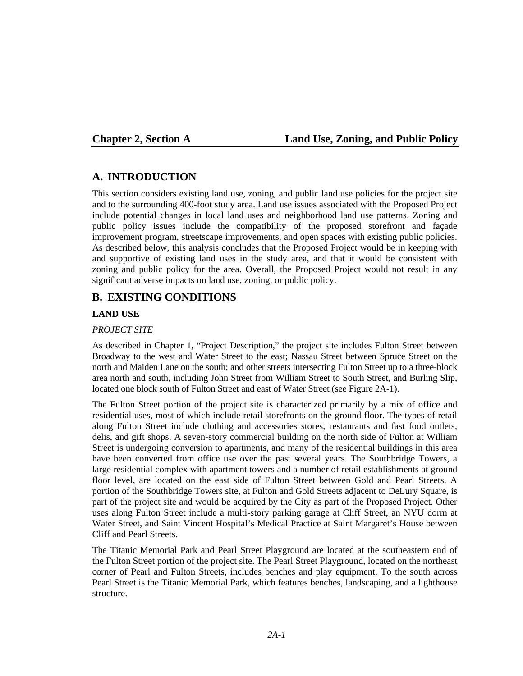### **Chapter 2, Section A Land Use, Zoning, and Public Policy**

# **A. INTRODUCTION**

This section considers existing land use, zoning, and public land use policies for the project site and to the surrounding 400-foot study area. Land use issues associated with the Proposed Project include potential changes in local land uses and neighborhood land use patterns. Zoning and public policy issues include the compatibility of the proposed storefront and façade improvement program, streetscape improvements, and open spaces with existing public policies. As described below, this analysis concludes that the Proposed Project would be in keeping with and supportive of existing land uses in the study area, and that it would be consistent with zoning and public policy for the area. Overall, the Proposed Project would not result in any significant adverse impacts on land use, zoning, or public policy.

# **B. EXISTING CONDITIONS**

#### **LAND USE**

#### *PROJECT SITE*

As described in Chapter 1, "Project Description," the project site includes Fulton Street between Broadway to the west and Water Street to the east; Nassau Street between Spruce Street on the north and Maiden Lane on the south; and other streets intersecting Fulton Street up to a three-block area north and south, including John Street from William Street to South Street, and Burling Slip, located one block south of Fulton Street and east of Water Street (see Figure 2A-1).

The Fulton Street portion of the project site is characterized primarily by a mix of office and residential uses, most of which include retail storefronts on the ground floor. The types of retail along Fulton Street include clothing and accessories stores, restaurants and fast food outlets, delis, and gift shops. A seven-story commercial building on the north side of Fulton at William Street is undergoing conversion to apartments, and many of the residential buildings in this area have been converted from office use over the past several years. The Southbridge Towers, a large residential complex with apartment towers and a number of retail establishments at ground floor level, are located on the east side of Fulton Street between Gold and Pearl Streets. A portion of the Southbridge Towers site, at Fulton and Gold Streets adjacent to DeLury Square, is part of the project site and would be acquired by the City as part of the Proposed Project. Other uses along Fulton Street include a multi-story parking garage at Cliff Street, an NYU dorm at Water Street, and Saint Vincent Hospital's Medical Practice at Saint Margaret's House between Cliff and Pearl Streets.

The Titanic Memorial Park and Pearl Street Playground are located at the southeastern end of the Fulton Street portion of the project site. The Pearl Street Playground, located on the northeast corner of Pearl and Fulton Streets, includes benches and play equipment. To the south across Pearl Street is the Titanic Memorial Park, which features benches, landscaping, and a lighthouse structure.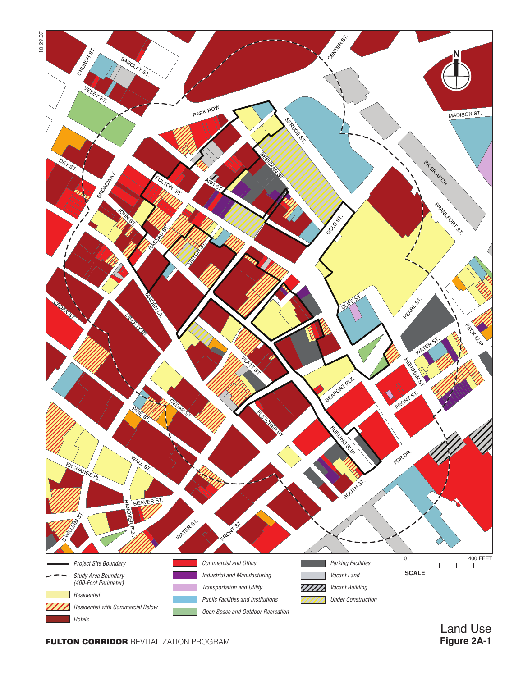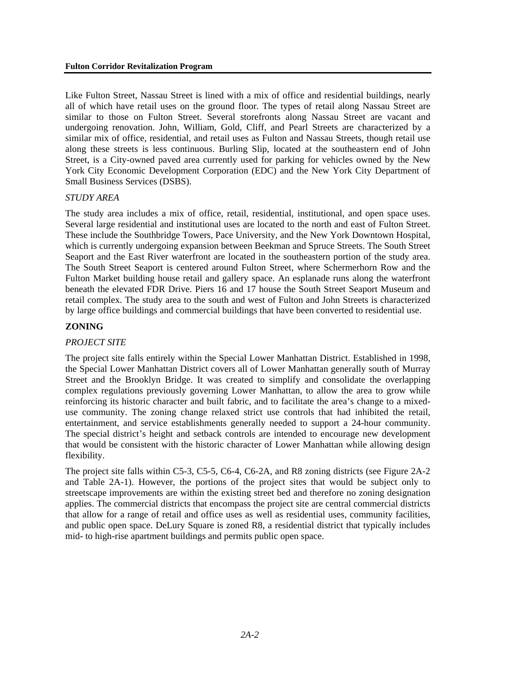Like Fulton Street, Nassau Street is lined with a mix of office and residential buildings, nearly all of which have retail uses on the ground floor. The types of retail along Nassau Street are similar to those on Fulton Street. Several storefronts along Nassau Street are vacant and undergoing renovation. John, William, Gold, Cliff, and Pearl Streets are characterized by a similar mix of office, residential, and retail uses as Fulton and Nassau Streets, though retail use along these streets is less continuous. Burling Slip, located at the southeastern end of John Street, is a City-owned paved area currently used for parking for vehicles owned by the New York City Economic Development Corporation (EDC) and the New York City Department of Small Business Services (DSBS).

#### *STUDY AREA*

The study area includes a mix of office, retail, residential, institutional, and open space uses. Several large residential and institutional uses are located to the north and east of Fulton Street. These include the Southbridge Towers, Pace University, and the New York Downtown Hospital, which is currently undergoing expansion between Beekman and Spruce Streets. The South Street Seaport and the East River waterfront are located in the southeastern portion of the study area. The South Street Seaport is centered around Fulton Street, where Schermerhorn Row and the Fulton Market building house retail and gallery space. An esplanade runs along the waterfront beneath the elevated FDR Drive. Piers 16 and 17 house the South Street Seaport Museum and retail complex. The study area to the south and west of Fulton and John Streets is characterized by large office buildings and commercial buildings that have been converted to residential use.

#### **ZONING**

#### *PROJECT SITE*

The project site falls entirely within the Special Lower Manhattan District. Established in 1998, the Special Lower Manhattan District covers all of Lower Manhattan generally south of Murray Street and the Brooklyn Bridge. It was created to simplify and consolidate the overlapping complex regulations previously governing Lower Manhattan, to allow the area to grow while reinforcing its historic character and built fabric, and to facilitate the area's change to a mixeduse community. The zoning change relaxed strict use controls that had inhibited the retail, entertainment, and service establishments generally needed to support a 24-hour community. The special district's height and setback controls are intended to encourage new development that would be consistent with the historic character of Lower Manhattan while allowing design flexibility.

The project site falls within C5-3, C5-5, C6-4, C6-2A, and R8 zoning districts (see Figure 2A-2 and Table 2A-1). However, the portions of the project sites that would be subject only to streetscape improvements are within the existing street bed and therefore no zoning designation applies. The commercial districts that encompass the project site are central commercial districts that allow for a range of retail and office uses as well as residential uses, community facilities, and public open space. DeLury Square is zoned R8, a residential district that typically includes mid- to high-rise apartment buildings and permits public open space.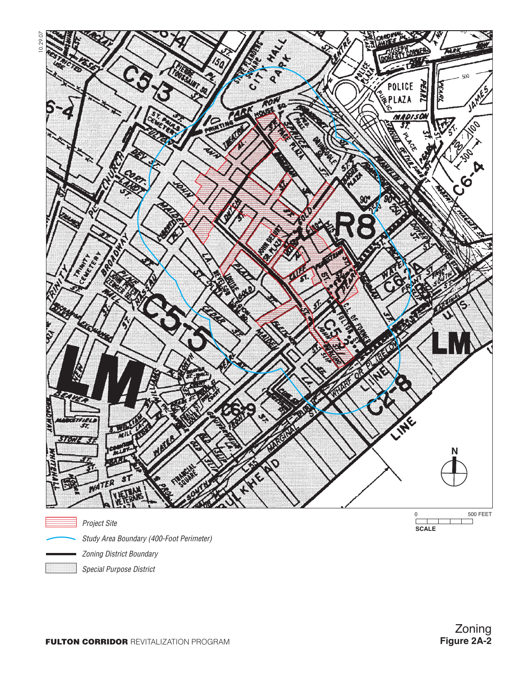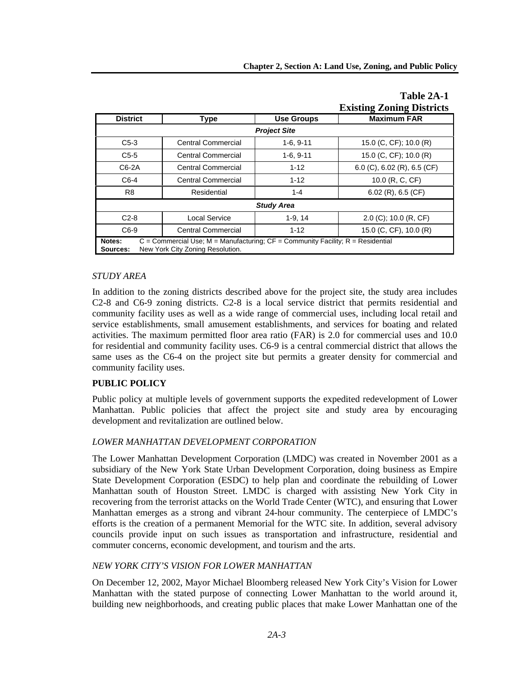|                                                                                                                                               |                           |                   | <b>Existing Zoning Districts</b> |  |
|-----------------------------------------------------------------------------------------------------------------------------------------------|---------------------------|-------------------|----------------------------------|--|
| <b>District</b>                                                                                                                               | <b>Type</b>               | <b>Use Groups</b> | <b>Maximum FAR</b>               |  |
| <b>Project Site</b>                                                                                                                           |                           |                   |                                  |  |
| $C5-3$                                                                                                                                        | <b>Central Commercial</b> | $1-6, 9-11$       | 15.0 (C, CF); 10.0 (R)           |  |
| $C5-5$                                                                                                                                        | <b>Central Commercial</b> | $1-6, 9-11$       | 15.0 (C, CF); 10.0 (R)           |  |
| $C6-2A$                                                                                                                                       | <b>Central Commercial</b> | $1 - 12$          | 6.0 (C), 6.02 (R), 6.5 (CF)      |  |
| $C6-4$                                                                                                                                        | <b>Central Commercial</b> | $1 - 12$          | 10.0 (R, C, CF)                  |  |
| R <sub>8</sub>                                                                                                                                | Residential               | $1 - 4$           | 6.02 (R), 6.5 (CF)               |  |
| <b>Study Area</b>                                                                                                                             |                           |                   |                                  |  |
| $C2-8$                                                                                                                                        | Local Service             | $1-9, 14$         | $2.0$ (C); 10.0 (R, CF)          |  |
| $C6-9$                                                                                                                                        | <b>Central Commercial</b> | $1 - 12$          | 15.0 (C, CF), 10.0 (R)           |  |
| $C =$ Commercial Use; M = Manufacturing; $CF =$ Community Facility; R = Residential<br>Notes:<br>New York City Zoning Resolution.<br>Sources: |                           |                   |                                  |  |

## **Table 2A-1 Existing Zoning Districts**

#### *STUDY AREA*

In addition to the zoning districts described above for the project site, the study area includes C2-8 and C6-9 zoning districts. C2-8 is a local service district that permits residential and community facility uses as well as a wide range of commercial uses, including local retail and service establishments, small amusement establishments, and services for boating and related activities. The maximum permitted floor area ratio (FAR) is 2.0 for commercial uses and 10.0 for residential and community facility uses. C6-9 is a central commercial district that allows the same uses as the C6-4 on the project site but permits a greater density for commercial and community facility uses.

#### **PUBLIC POLICY**

Public policy at multiple levels of government supports the expedited redevelopment of Lower Manhattan. Public policies that affect the project site and study area by encouraging development and revitalization are outlined below.

#### *LOWER MANHATTAN DEVELOPMENT CORPORATION*

The Lower Manhattan Development Corporation (LMDC) was created in November 2001 as a subsidiary of the New York State Urban Development Corporation, doing business as Empire State Development Corporation (ESDC) to help plan and coordinate the rebuilding of Lower Manhattan south of Houston Street. LMDC is charged with assisting New York City in recovering from the terrorist attacks on the World Trade Center (WTC), and ensuring that Lower Manhattan emerges as a strong and vibrant 24-hour community. The centerpiece of LMDC's efforts is the creation of a permanent Memorial for the WTC site. In addition, several advisory councils provide input on such issues as transportation and infrastructure, residential and commuter concerns, economic development, and tourism and the arts.

#### *NEW YORK CITY'S VISION FOR LOWER MANHATTAN*

On December 12, 2002, Mayor Michael Bloomberg released New York City's Vision for Lower Manhattan with the stated purpose of connecting Lower Manhattan to the world around it, building new neighborhoods, and creating public places that make Lower Manhattan one of the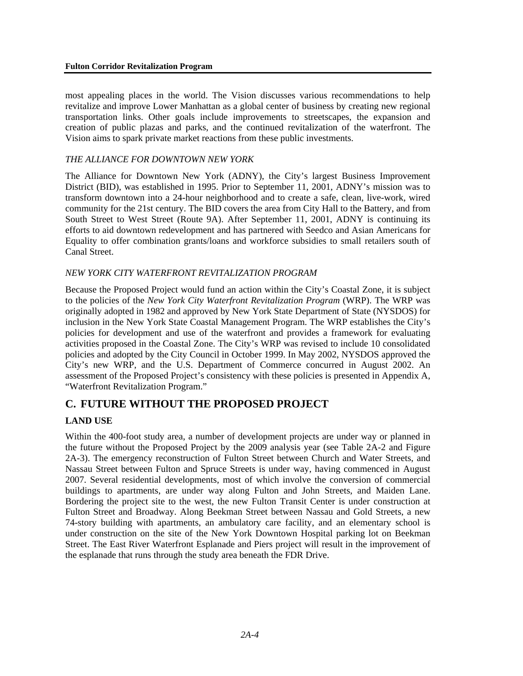most appealing places in the world. The Vision discusses various recommendations to help revitalize and improve Lower Manhattan as a global center of business by creating new regional transportation links. Other goals include improvements to streetscapes, the expansion and creation of public plazas and parks, and the continued revitalization of the waterfront. The Vision aims to spark private market reactions from these public investments.

## *THE ALLIANCE FOR DOWNTOWN NEW YORK*

The Alliance for Downtown New York (ADNY), the City's largest Business Improvement District (BID), was established in 1995. Prior to September 11, 2001, ADNY's mission was to transform downtown into a 24-hour neighborhood and to create a safe, clean, live-work, wired community for the 21st century. The BID covers the area from City Hall to the Battery, and from South Street to West Street (Route 9A). After September 11, 2001, ADNY is continuing its efforts to aid downtown redevelopment and has partnered with Seedco and Asian Americans for Equality to offer combination grants/loans and workforce subsidies to small retailers south of Canal Street.

#### *NEW YORK CITY WATERFRONT REVITALIZATION PROGRAM*

Because the Proposed Project would fund an action within the City's Coastal Zone, it is subject to the policies of the *New York City Waterfront Revitalization Program* (WRP). The WRP was originally adopted in 1982 and approved by New York State Department of State (NYSDOS) for inclusion in the New York State Coastal Management Program. The WRP establishes the City's policies for development and use of the waterfront and provides a framework for evaluating activities proposed in the Coastal Zone. The City's WRP was revised to include 10 consolidated policies and adopted by the City Council in October 1999. In May 2002, NYSDOS approved the City's new WRP, and the U.S. Department of Commerce concurred in August 2002. An assessment of the Proposed Project's consistency with these policies is presented in Appendix A, "Waterfront Revitalization Program."

# **C. FUTURE WITHOUT THE PROPOSED PROJECT**

# **LAND USE**

Within the 400-foot study area, a number of development projects are under way or planned in the future without the Proposed Project by the 2009 analysis year (see Table 2A-2 and Figure 2A-3). The emergency reconstruction of Fulton Street between Church and Water Streets, and Nassau Street between Fulton and Spruce Streets is under way, having commenced in August 2007. Several residential developments, most of which involve the conversion of commercial buildings to apartments, are under way along Fulton and John Streets, and Maiden Lane. Bordering the project site to the west, the new Fulton Transit Center is under construction at Fulton Street and Broadway. Along Beekman Street between Nassau and Gold Streets, a new 74-story building with apartments, an ambulatory care facility, and an elementary school is under construction on the site of the New York Downtown Hospital parking lot on Beekman Street. The East River Waterfront Esplanade and Piers project will result in the improvement of the esplanade that runs through the study area beneath the FDR Drive.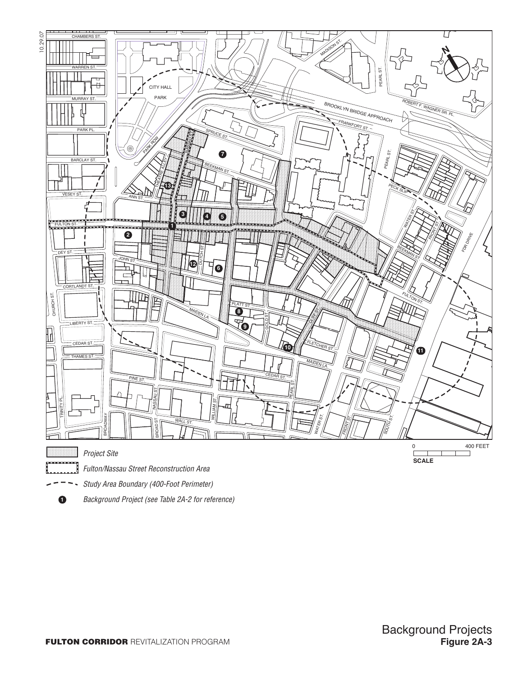





**1** *Background Project (see Table 2A-2 for reference)*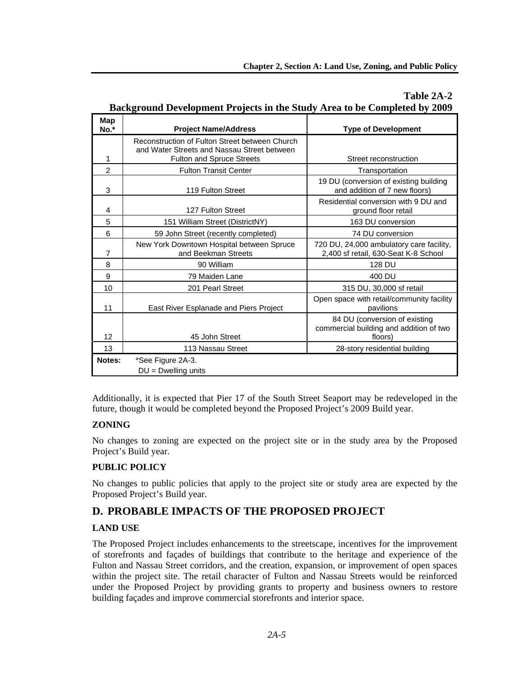| Background Development Projects in the Study Area to be Completed by 2009 |                                                                                                                            |                                                                                     |  |
|---------------------------------------------------------------------------|----------------------------------------------------------------------------------------------------------------------------|-------------------------------------------------------------------------------------|--|
| Map<br>$No.*$                                                             | <b>Project Name/Address</b>                                                                                                | <b>Type of Development</b>                                                          |  |
| 1                                                                         | Reconstruction of Fulton Street between Church<br>and Water Streets and Nassau Street between<br>Fulton and Spruce Streets | Street reconstruction                                                               |  |
| $\overline{2}$                                                            | <b>Fulton Transit Center</b>                                                                                               | Transportation                                                                      |  |
| 3                                                                         | 119 Fulton Street                                                                                                          | 19 DU (conversion of existing building<br>and addition of 7 new floors)             |  |
| 4                                                                         | 127 Fulton Street                                                                                                          | Residential conversion with 9 DU and<br>ground floor retail                         |  |
| 5                                                                         | 151 William Street (DistrictNY)                                                                                            | 163 DU conversion                                                                   |  |
| 6                                                                         | 59 John Street (recently completed)                                                                                        | 74 DU conversion                                                                    |  |
| $\overline{7}$                                                            | New York Downtown Hospital between Spruce<br>and Beekman Streets                                                           | 720 DU, 24,000 ambulatory care facility,<br>2,400 sf retail, 630-Seat K-8 School    |  |
| 8                                                                         | 90 William                                                                                                                 | 128 DU                                                                              |  |
| 9                                                                         | 79 Maiden Lane                                                                                                             | 400 DU                                                                              |  |
| 10                                                                        | 201 Pearl Street                                                                                                           | 315 DU, 30,000 sf retail                                                            |  |
| 11                                                                        | East River Esplanade and Piers Project                                                                                     | Open space with retail/community facility<br>pavilions                              |  |
| 12                                                                        | 45 John Street                                                                                                             | 84 DU (conversion of existing<br>commercial building and addition of two<br>floors) |  |
| 13                                                                        | 113 Nassau Street                                                                                                          | 28-story residential building                                                       |  |
| Notes:                                                                    | *See Figure 2A-3.<br>$DU = Dwelling$ units                                                                                 |                                                                                     |  |

# **Table 2A-2 Background Development Projects in the Study Area to be Completed by 2009**

Additionally, it is expected that Pier 17 of the South Street Seaport may be redeveloped in the future, though it would be completed beyond the Proposed Project's 2009 Build year.

# **ZONING**

No changes to zoning are expected on the project site or in the study area by the Proposed Project's Build year.

# **PUBLIC POLICY**

No changes to public policies that apply to the project site or study area are expected by the Proposed Project's Build year.

# **D. PROBABLE IMPACTS OF THE PROPOSED PROJECT**

# **LAND USE**

The Proposed Project includes enhancements to the streetscape, incentives for the improvement of storefronts and façades of buildings that contribute to the heritage and experience of the Fulton and Nassau Street corridors, and the creation, expansion, or improvement of open spaces within the project site. The retail character of Fulton and Nassau Streets would be reinforced under the Proposed Project by providing grants to property and business owners to restore building façades and improve commercial storefronts and interior space.